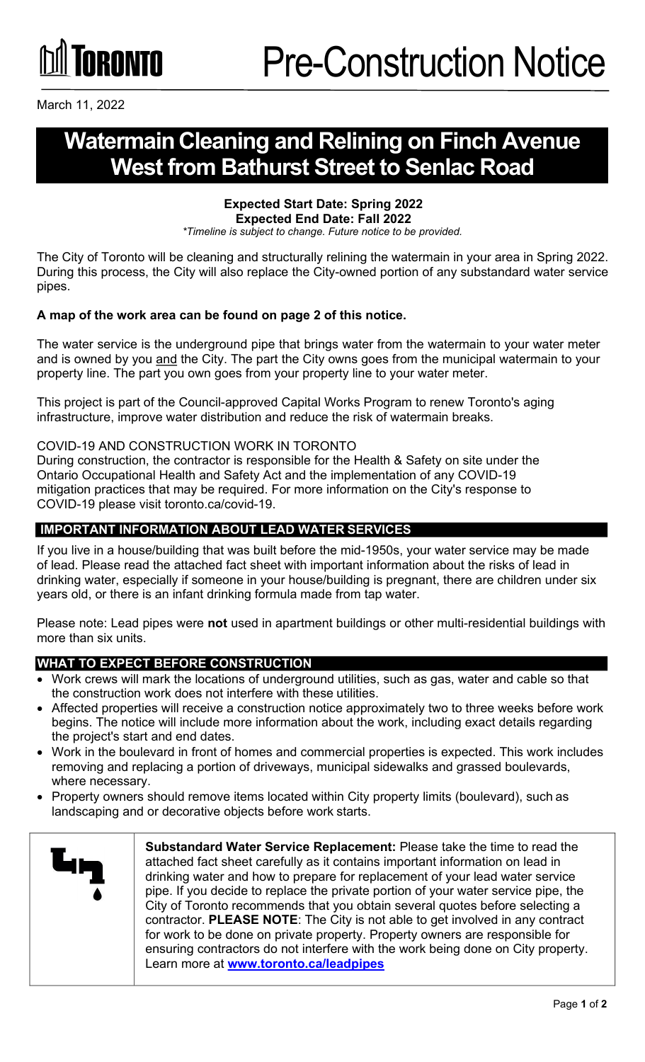

March 11, 2022

## **WatermainCleaning and Relining on Finch Avenue West from Bathurst Street to Senlac Road**

#### **Expected Start Date: Spring 2022 Expected End Date: Fall 2022**

*\*Timeline is subject to change. Future notice to be provided.*

The City of Toronto will be cleaning and structurally relining the watermain in your area in Spring 2022. During this process, the City will also replace the City-owned portion of any substandard water service pipes.

#### **A map of the work area can be found on page 2 of this notice.**

The water service is the underground pipe that brings water from the watermain to your water meter and is owned by you and the City. The part the City owns goes from the municipal watermain to your property line. The part you own goes from your property line to your water meter.

This project is part of the Council-approved Capital Works Program to renew Toronto's aging infrastructure, improve water distribution and reduce the risk of watermain breaks.

#### COVID-19 AND CONSTRUCTION WORK IN TORONTO

During construction, the contractor is responsible for the Health & Safety on site under the Ontario Occupational Health and Safety Act and the implementation of any COVID-19 mitigation practices that may be required. For more information on the City's response to COVID-19 please visit toronto.ca/covid-19.

#### **IMPORTANT INFORMATION ABOUT LEAD WATER SERVICES**

If you live in a house/building that was built before the mid-1950s, your water service may be made of lead. Please read the attached fact sheet with important information about the risks of lead in drinking water, especially if someone in your house/building is pregnant, there are children under six years old, or there is an infant drinking formula made from tap water.

Please note: Lead pipes were **not** used in apartment buildings or other multi-residential buildings with more than six units.

#### **WHAT TO EXPECT BEFORE CONSTRUCTION**

- Work crews will mark the locations of underground utilities, such as gas, water and cable so that the construction work does not interfere with these utilities.
- Affected properties will receive a construction notice approximately two to three weeks before work begins. The notice will include more information about the work, including exact details regarding the project's start and end dates.
- Work in the boulevard in front of homes and commercial properties is expected. This work includes removing and replacing a portion of driveways, municipal sidewalks and grassed boulevards, where necessary.
- Property owners should remove items located within City property limits (boulevard), such as landscaping and or decorative objects before work starts.

| وبها | Substandard Water Service Replacement: Please take the time to read the<br>attached fact sheet carefully as it contains important information on lead in<br>drinking water and how to prepare for replacement of your lead water service<br>pipe. If you decide to replace the private portion of your water service pipe, the<br>City of Toronto recommends that you obtain several quotes before selecting a |
|------|----------------------------------------------------------------------------------------------------------------------------------------------------------------------------------------------------------------------------------------------------------------------------------------------------------------------------------------------------------------------------------------------------------------|
|      | contractor. PLEASE NOTE: The City is not able to get involved in any contract<br>for work to be done on private property. Property owners are responsible for<br>ensuring contractors do not interfere with the work being done on City property.<br>Learn more at www.toronto.ca/leadpipes                                                                                                                    |